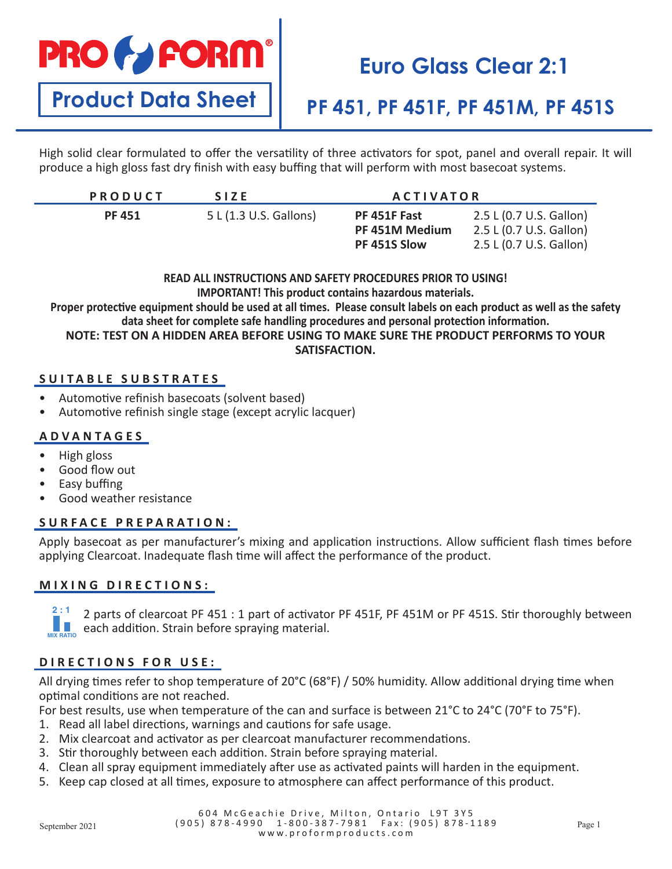# **PRO & FORM**

# **Euro Glass Clear 2:1**

# **Product Data Sheet**

### **PF 451, PF 451F, PF 451M, PF 451S**

High solid clear formulated to offer the versatility of three activators for spot, panel and overall repair. It will produce a high gloss fast dry finish with easy buffing that will perform with most basecoat systems.

| <b>PRODUCT</b> | <b>SIZE</b>            | <b>ACTIVATOR</b>                               |                                                                               |
|----------------|------------------------|------------------------------------------------|-------------------------------------------------------------------------------|
| <b>PF 451</b>  | 5 L (1.3 U.S. Gallons) | PF 451F Fast<br>PF 451M Medium<br>PF 451S Slow | 2.5 L (0.7 U.S. Gallon)<br>2.5 L (0.7 U.S. Gallon)<br>2.5 L (0.7 U.S. Gallon) |

**READ ALL INSTRUCTIONS AND SAFETY PROCEDURES PRIOR TO USING! IMPORTANT! This product contains hazardous materials. Proper protective equipment should be used at all times. Please consult labels on each product as well as the safety data sheet for complete safe handling procedures and personal protection information. NOTE: TEST ON A HIDDEN AREA BEFORE USING TO MAKE SURE THE PRODUCT PERFORMS TO YOUR SATISFACTION.**

#### **SUITABLE SUBSTRATES**

- Automotive refinish basecoats (solvent based)
- Automotive refinish single stage (except acrylic lacquer)

#### **ADVANTAGES**

- High gloss
- Good flow out
- Easy buffing
- Good weather resistance

#### **SURFACE PREPARATION:**

Apply basecoat as per manufacturer's mixing and application instructions. Allow sufficient flash times before applying Clearcoat. Inadequate flash time will affect the performance of the product.

#### **MIXING DIRECTIONS:**

2 parts of clearcoat PF 451 : 1 part of activator PF 451F, PF 451M or PF 451S. Stir thoroughly between **4 : 1 : 1** each addition. Strain before spraying material. **MIX RATIO MIX RATIO 2 : 1**

#### **DIRECTIONS FOR USE:**

All drying times refer to shop temperature of 20°C (68°F) / 50% humidity. Allow additional drying time when optimal conditions are not reached.

For best results, use when temperature of the can and surface is between 21°C to 24°C (70°F to 75°F).

- 1. Read all label directions, warnings and cautions for safe usage.
- 2. Mix clearcoat and activator as per clearcoat manufacturer recommendations.
- 3. Stir thoroughly between each addition. Strain before spraying material.
- 4. Clean all spray equipment immediately after use as activated paints will harden in the equipment.
- 5. Keep cap closed at all times, exposure to atmosphere can affect performance of this product.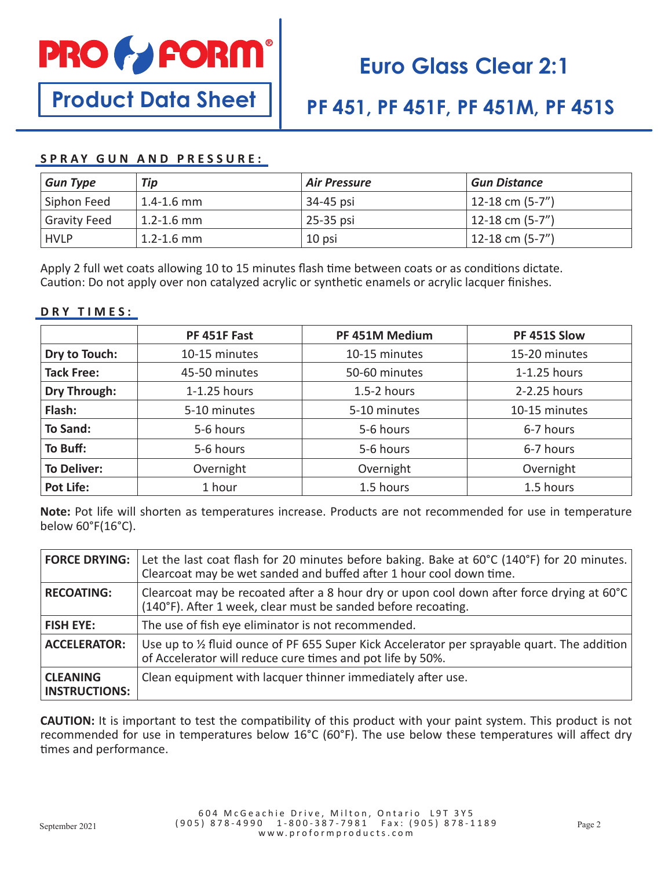

# **Euro Glass Clear 2:1**

# **Product Data Sheet**

### **PF 451, PF 451F, PF 451M, PF 451S**

#### **SPRAY GUN AND PRESSURE:**

| <b>Gun Type</b>     | Tip            | <b>Air Pressure</b> | <b>Gun Distance</b> |
|---------------------|----------------|---------------------|---------------------|
| Siphon Feed         | $1.4 - 1.6$ mm | 34-45 psi           | 12-18 cm $(5-7")$   |
| <b>Gravity Feed</b> | $1.2 - 1.6$ mm | 25-35 psi           | 12-18 cm $(5-7")$   |
| <b>HVLP</b>         | $1.2 - 1.6$ mm | 10 psi              | 12-18 cm $(5-7")$   |

Apply 2 full wet coats allowing 10 to 15 minutes flash time between coats or as conditions dictate. Caution: Do not apply over non catalyzed acrylic or synthetic enamels or acrylic lacquer finishes.

#### **DRY TIMES:**

|                     | PF 451F Fast  | PF 451M Medium  | PF 451S Slow   |
|---------------------|---------------|-----------------|----------------|
| Dry to Touch:       | 10-15 minutes | 10-15 minutes   | 15-20 minutes  |
| <b>Tack Free:</b>   | 45-50 minutes | 50-60 minutes   | $1-1.25$ hours |
| <b>Dry Through:</b> | 1-1.25 hours  | $1.5 - 2$ hours | 2-2.25 hours   |
| Flash:              | 5-10 minutes  | 5-10 minutes    | 10-15 minutes  |
| <b>To Sand:</b>     | 5-6 hours     | 5-6 hours       | 6-7 hours      |
| To Buff:            | 5-6 hours     | 5-6 hours       | 6-7 hours      |
| <b>To Deliver:</b>  | Overnight     | Overnight       | Overnight      |
| <b>Pot Life:</b>    | 1 hour        | 1.5 hours       | 1.5 hours      |

**Note:** Pot life will shorten as temperatures increase. Products are not recommended for use in temperature below 60°F(16°C).

| <b>FORCE DRYING:</b>                    | Let the last coat flash for 20 minutes before baking. Bake at 60°C (140°F) for 20 minutes.<br>Clearcoat may be wet sanded and buffed after 1 hour cool down time.    |
|-----------------------------------------|----------------------------------------------------------------------------------------------------------------------------------------------------------------------|
| <b>RECOATING:</b>                       | Clearcoat may be recoated after a 8 hour dry or upon cool down after force drying at 60°C<br>(140°F). After 1 week, clear must be sanded before recoating.           |
| <b>FISH EYE:</b>                        | The use of fish eye eliminator is not recommended.                                                                                                                   |
| <b>ACCELERATOR:</b>                     | Use up to $\frac{1}{2}$ fluid ounce of PF 655 Super Kick Accelerator per sprayable quart. The addition<br>of Accelerator will reduce cure times and pot life by 50%. |
| <b>CLEANING</b><br><b>INSTRUCTIONS:</b> | Clean equipment with lacquer thinner immediately after use.                                                                                                          |

**CAUTION:** It is important to test the compatibility of this product with your paint system. This product is not recommended for use in temperatures below 16°C (60°F). The use below these temperatures will affect dry times and performance.